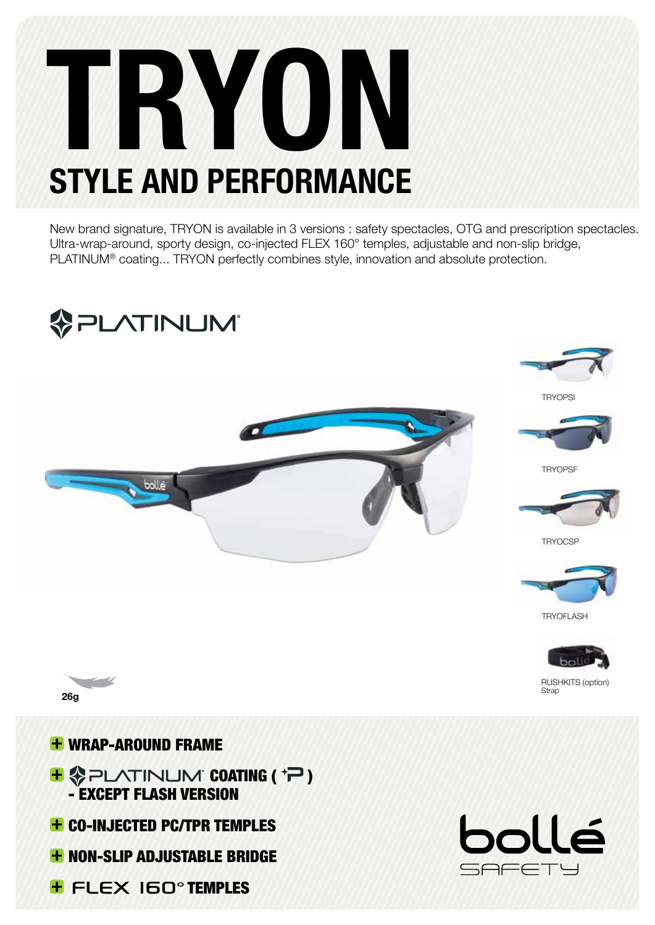# TRYON STYLE AND PERFORMANCE

New brand signature, TRYON is available in 3 versions : safety spectacles, OTG and prescription spectacles. Ultra-wrap-around, sporty design, co-injected FLEX 160° temples, adjustable and non-slip bridge, PLATINUM® coating... TRYON perfectly combines style, innovation and absolute protection.



- 
- **+ NON-SLIP ADJUSTABLE BRIDGE**
- **+ FLEX IGO<sup>o</sup>TEMPLES**